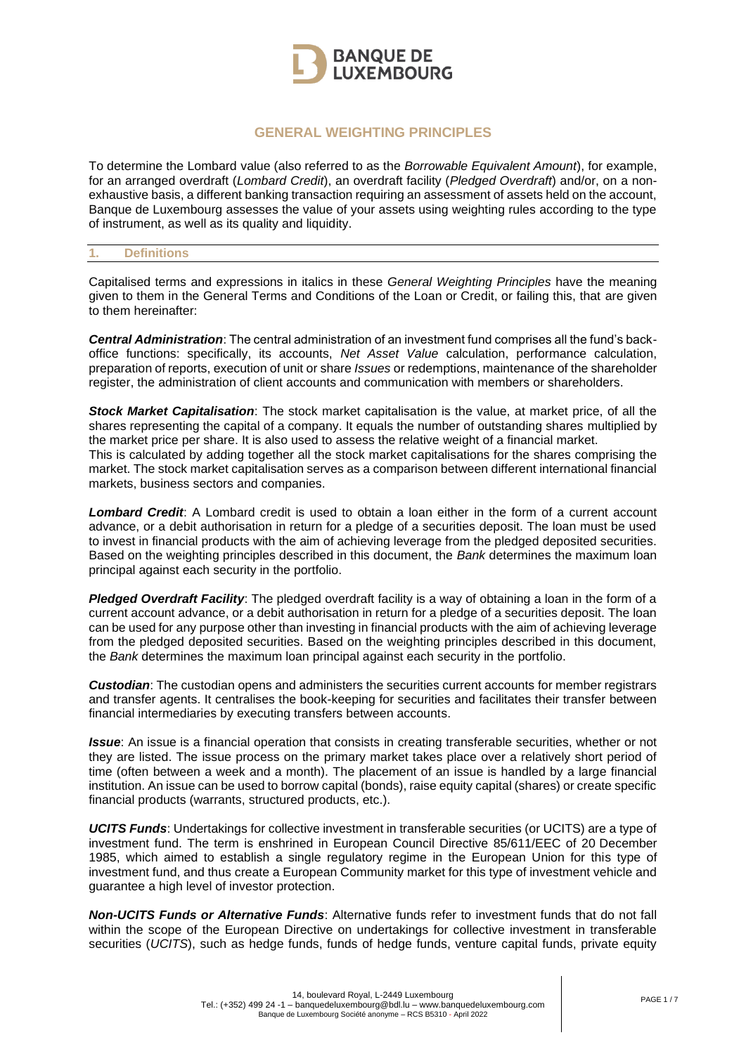

# **GENERAL WEIGHTING PRINCIPLES**

To determine the Lombard value (also referred to as the *Borrowable Equivalent Amount*), for example, for an arranged overdraft (*Lombard Credit*), an overdraft facility (*Pledged Overdraft*) and/or, on a nonexhaustive basis, a different banking transaction requiring an assessment of assets held on the account, Banque de Luxembourg assesses the value of your assets using weighting rules according to the type of instrument, as well as its quality and liquidity.

### **1. Definitions**

Capitalised terms and expressions in italics in these *General Weighting Principles* have the meaning given to them in the General Terms and Conditions of the Loan or Credit, or failing this, that are given to them hereinafter:

*Central Administration*: The central administration of an investment fund comprises all the fund's backoffice functions: specifically, its accounts, *Net Asset Value* calculation, performance calculation, preparation of reports, execution of unit or share *Issues* or redemptions, maintenance of the shareholder register, the administration of client accounts and communication with members or shareholders.

*Stock Market Capitalisation*: The stock market capitalisation is the value, at market price, of all the shares representing the capital of a company. It equals the number of outstanding shares multiplied by the market price per share. It is also used to assess the relative weight of a financial market. This is calculated by adding together all the stock market capitalisations for the shares comprising the market. The stock market capitalisation serves as a comparison between different international financial markets, business sectors and companies.

*Lombard Credit*: A Lombard credit is used to obtain a loan either in the form of a current account advance, or a debit authorisation in return for a pledge of a securities deposit. The loan must be used to invest in financial products with the aim of achieving leverage from the pledged deposited securities. Based on the weighting principles described in this document, the *Bank* determines the maximum loan principal against each security in the portfolio.

*Pledged Overdraft Facility*: The pledged overdraft facility is a way of obtaining a loan in the form of a current account advance, or a debit authorisation in return for a pledge of a securities deposit. The loan can be used for any purpose other than investing in financial products with the aim of achieving leverage from the pledged deposited securities. Based on the weighting principles described in this document, the *Bank* determines the maximum loan principal against each security in the portfolio.

*Custodian*: The custodian opens and administers the securities current accounts for member registrars and transfer agents. It centralises the book-keeping for securities and facilitates their transfer between financial intermediaries by executing transfers between accounts.

*Issue*: An issue is a financial operation that consists in creating transferable securities, whether or not they are listed. The issue process on the primary market takes place over a relatively short period of time (often between a week and a month). The placement of an issue is handled by a large financial institution. An issue can be used to borrow capital (bonds), raise equity capital (shares) or create specific financial products (warrants, structured products, etc.).

*UCITS Funds*: Undertakings for collective investment in transferable securities (or UCITS) are a type of investment fund. The term is enshrined in European Council Directive 85/611/EEC of 20 December 1985, which aimed to establish a single regulatory regime in the European Union for this type of investment fund, and thus create a European Community market for this type of investment vehicle and guarantee a high level of investor protection.

*Non-UCITS Funds or Alternative Funds*: Alternative funds refer to investment funds that do not fall within the scope of the European Directive on undertakings for collective investment in transferable securities (*UCITS*), such as hedge funds, funds of hedge funds, venture capital funds, private equity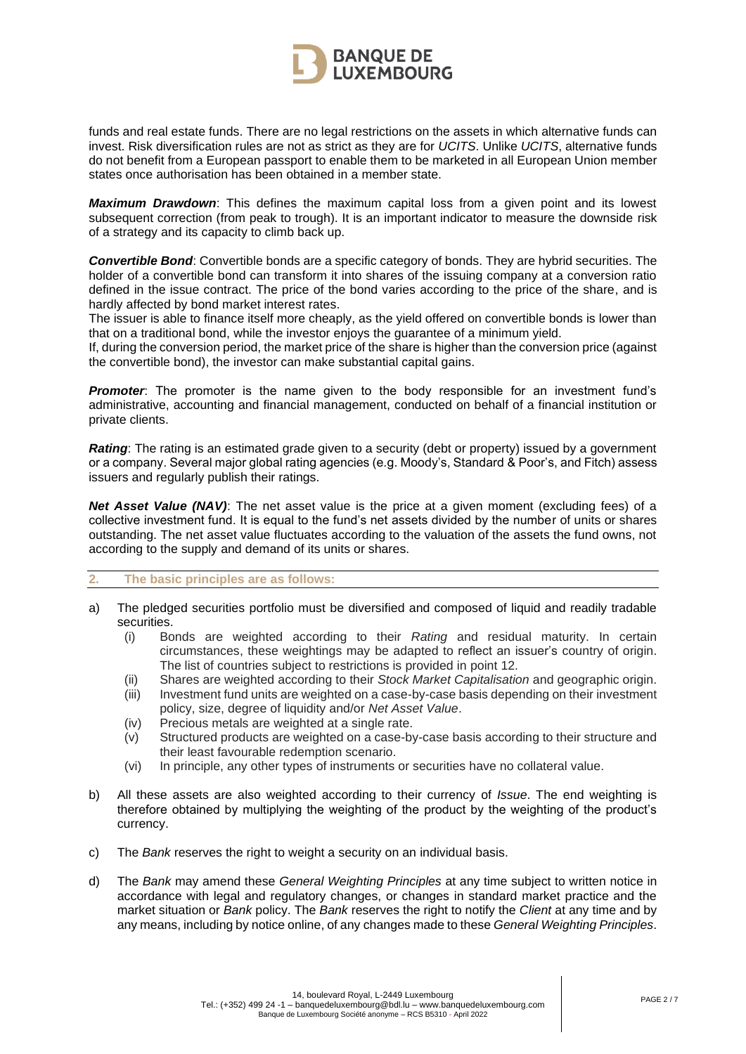

funds and real estate funds. There are no legal restrictions on the assets in which alternative funds can invest. Risk diversification rules are not as strict as they are for *UCITS*. Unlike *UCITS*, alternative funds do not benefit from a European passport to enable them to be marketed in all European Union member states once authorisation has been obtained in a member state.

*Maximum Drawdown*: This defines the maximum capital loss from a given point and its lowest subsequent correction (from peak to trough). It is an important indicator to measure the downside risk of a strategy and its capacity to climb back up.

*Convertible Bond*: Convertible bonds are a specific category of bonds. They are hybrid securities. The holder of a convertible bond can transform it into shares of the issuing company at a conversion ratio defined in the issue contract. The price of the bond varies according to the price of the share, and is hardly affected by bond market interest rates.

The issuer is able to finance itself more cheaply, as the yield offered on convertible bonds is lower than that on a traditional bond, while the investor enjoys the guarantee of a minimum yield.

If, during the conversion period, the market price of the share is higher than the conversion price (against the convertible bond), the investor can make substantial capital gains.

**Promoter**: The promoter is the name given to the body responsible for an investment fund's administrative, accounting and financial management, conducted on behalf of a financial institution or private clients.

*Rating*: The rating is an estimated grade given to a security (debt or property) issued by a government or a company. Several major global rating agencies (e.g. Moody's, Standard & Poor's, and Fitch) assess issuers and regularly publish their ratings.

*Net Asset Value (NAV)*: The net asset value is the price at a given moment (excluding fees) of a collective investment fund. It is equal to the fund's net assets divided by the number of units or shares outstanding. The net asset value fluctuates according to the valuation of the assets the fund owns, not according to the supply and demand of its units or shares.

#### **2. The basic principles are as follows:**

- a) The pledged securities portfolio must be diversified and composed of liquid and readily tradable securities.
	- (i) Bonds are weighted according to their *Rating* and residual maturity. In certain circumstances, these weightings may be adapted to reflect an issuer's country of origin. The list of countries subject to restrictions is provided in point 12.
	- (ii) Shares are weighted according to their *Stock Market Capitalisation* and geographic origin.
	- Investment fund units are weighted on a case-by-case basis depending on their investment policy, size, degree of liquidity and/or *Net Asset Value*.
	- (iv) Precious metals are weighted at a single rate.
	- (v) Structured products are weighted on a case-by-case basis according to their structure and their least favourable redemption scenario.
	- (vi) In principle, any other types of instruments or securities have no collateral value.
- b) All these assets are also weighted according to their currency of *Issue*. The end weighting is therefore obtained by multiplying the weighting of the product by the weighting of the product's currency.
- c) The *Bank* reserves the right to weight a security on an individual basis.
- d) The *Bank* may amend these *General Weighting Principles* at any time subject to written notice in accordance with legal and regulatory changes, or changes in standard market practice and the market situation or *Bank* policy. The *Bank* reserves the right to notify the *Client* at any time and by any means, including by notice online, of any changes made to these *General Weighting Principles*.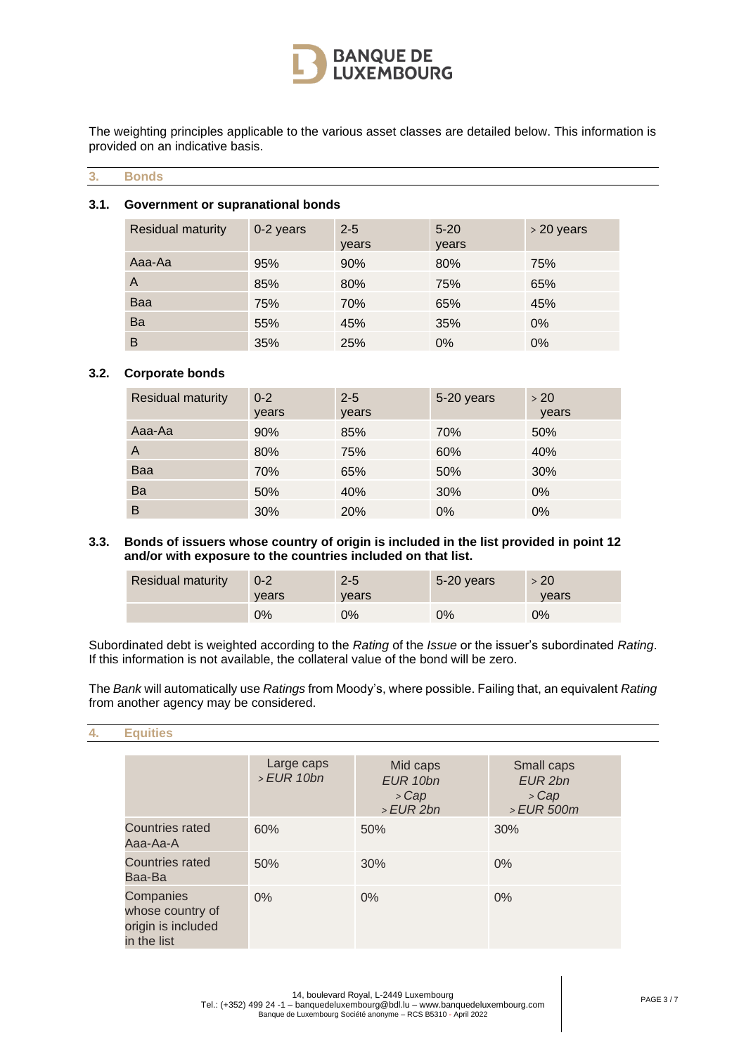

The weighting principles applicable to the various asset classes are detailed below. This information is provided on an indicative basis.

## **3. Bonds**

### **3.1. Government or supranational bonds**

| <b>Residual maturity</b> | 0-2 years | $2 - 5$<br>years | $5 - 20$<br>years | > 20 years |
|--------------------------|-----------|------------------|-------------------|------------|
| Aaa-Aa                   | 95%       | 90%              | 80%               | 75%        |
| A                        | 85%       | 80%              | 75%               | 65%        |
| Baa                      | 75%       | 70%              | 65%               | 45%        |
| Ba                       | 55%       | 45%              | 35%               | 0%         |
| B                        | 35%       | 25%              | $0\%$             | $0\%$      |

### **3.2. Corporate bonds**

| <b>Residual maturity</b> | $0 - 2$<br>years | $2 - 5$<br>years | 5-20 years | >20<br>years |
|--------------------------|------------------|------------------|------------|--------------|
| Aaa-Aa                   | 90%              | 85%              | 70%        | 50%          |
| A                        | 80%              | 75%              | 60%        | 40%          |
| Baa                      | 70%              | 65%              | 50%        | 30%          |
| Ba                       | 50%              | 40%              | 30%        | 0%           |
| B                        | 30%              | 20%              | $0\%$      | $0\%$        |

### **3.3. Bonds of issuers whose country of origin is included in the list provided in point 12 and/or with exposure to the countries included on that list.**

| <b>Residual maturity</b> | $0 - 2$<br>vears | $2 - 5$<br>vears | 5-20 years | >20<br>vears |
|--------------------------|------------------|------------------|------------|--------------|
|                          | 0%               | 0%               | $0\%$      | $0\%$        |

Subordinated debt is weighted according to the *Rating* of the *Issue* or the issuer's subordinated *Rating*. If this information is not available, the collateral value of the bond will be zero.

The *Bank* will automatically use *Ratings* from Moody's, where possible. Failing that, an equivalent *Rating* from another agency may be considered.

#### **4. Equities**

|                                                                           | Large caps<br>>EUR 10bn | Mid caps<br>EUR 10bn<br>> Cap<br>$>EUR$ 2bn | Small caps<br>EUR 2bn<br>> Cap<br>> EUR 500m |
|---------------------------------------------------------------------------|-------------------------|---------------------------------------------|----------------------------------------------|
| <b>Countries rated</b><br>Aaa-Aa-A                                        | 60%                     | 50%                                         | 30%                                          |
| Countries rated<br>Baa-Ba                                                 | 50%                     | 30%                                         | 0%                                           |
| <b>Companies</b><br>whose country of<br>origin is included<br>in the list | 0%                      | $0\%$                                       | $0\%$                                        |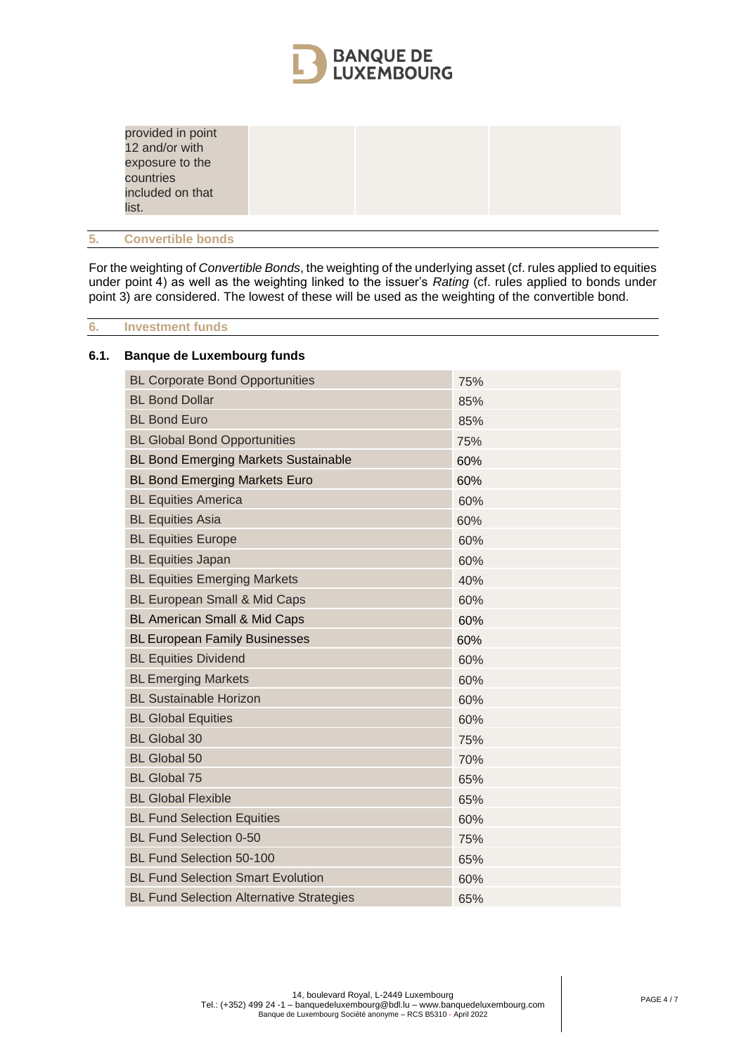

| provided in point<br>12 and/or with |  |  |
|-------------------------------------|--|--|
| exposure to the                     |  |  |
| countries                           |  |  |
| included on that                    |  |  |
| list.                               |  |  |

## **5. Convertible bonds**

For the weighting of *Convertible Bonds*, the weighting of the underlying asset (cf. rules applied to equities under point 4) as well as the weighting linked to the issuer's *Rating* (cf. rules applied to bonds under point 3) are considered. The lowest of these will be used as the weighting of the convertible bond.

### **6. Investment funds**

### **6.1. Banque de Luxembourg funds**

| <b>BL Corporate Bond Opportunities</b>          | 75% |
|-------------------------------------------------|-----|
| <b>BL Bond Dollar</b>                           | 85% |
| <b>BL Bond Euro</b>                             | 85% |
| <b>BL Global Bond Opportunities</b>             | 75% |
| <b>BL Bond Emerging Markets Sustainable</b>     | 60% |
| <b>BL Bond Emerging Markets Euro</b>            | 60% |
| <b>BL Equities America</b>                      | 60% |
| <b>BL Equities Asia</b>                         | 60% |
| <b>BL Equities Europe</b>                       | 60% |
| <b>BL Equities Japan</b>                        | 60% |
| <b>BL Equities Emerging Markets</b>             | 40% |
| <b>BL European Small &amp; Mid Caps</b>         | 60% |
| <b>BL American Small &amp; Mid Caps</b>         | 60% |
| <b>BL European Family Businesses</b>            | 60% |
| <b>BL Equities Dividend</b>                     | 60% |
| <b>BL Emerging Markets</b>                      | 60% |
| <b>BL Sustainable Horizon</b>                   | 60% |
| <b>BL Global Equities</b>                       | 60% |
| <b>BL Global 30</b>                             | 75% |
| <b>BL Global 50</b>                             | 70% |
| <b>BL Global 75</b>                             | 65% |
| <b>BL Global Flexible</b>                       | 65% |
| <b>BL Fund Selection Equities</b>               | 60% |
| <b>BL Fund Selection 0-50</b>                   | 75% |
| <b>BL Fund Selection 50-100</b>                 | 65% |
| <b>BL Fund Selection Smart Evolution</b>        | 60% |
| <b>BL Fund Selection Alternative Strategies</b> | 65% |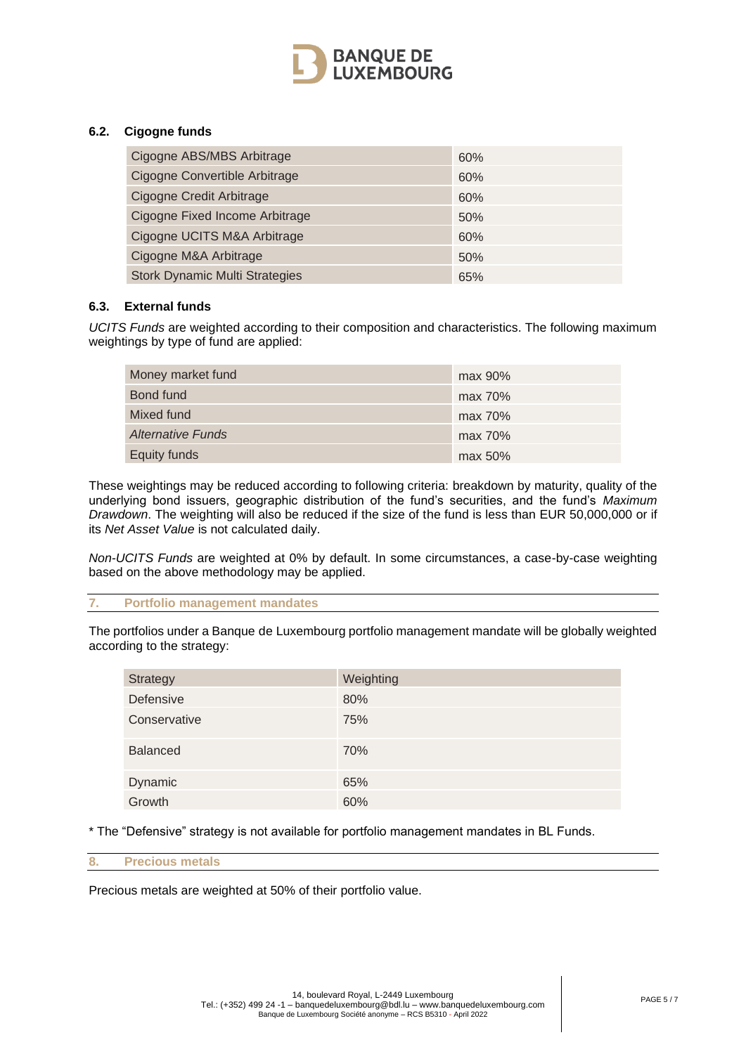

## **6.2. Cigogne funds**

| Cigogne ABS/MBS Arbitrage             | 60% |
|---------------------------------------|-----|
| Cigogne Convertible Arbitrage         | 60% |
| Cigogne Credit Arbitrage              | 60% |
| Cigogne Fixed Income Arbitrage        | 50% |
| Cigogne UCITS M&A Arbitrage           | 60% |
| Cigogne M&A Arbitrage                 | 50% |
| <b>Stork Dynamic Multi Strategies</b> | 65% |

## **6.3. External funds**

*UCITS Funds* are weighted according to their composition and characteristics. The following maximum weightings by type of fund are applied:

| Money market fund        | max 90%    |
|--------------------------|------------|
| Bond fund                | max 70%    |
| Mixed fund               | max 70%    |
| <b>Alternative Funds</b> | max 70%    |
| <b>Equity funds</b>      | $max 50\%$ |

These weightings may be reduced according to following criteria: breakdown by maturity, quality of the underlying bond issuers, geographic distribution of the fund's securities, and the fund's *Maximum Drawdown*. The weighting will also be reduced if the size of the fund is less than EUR 50,000,000 or if its *Net Asset Value* is not calculated daily.

*Non-UCITS Funds* are weighted at 0% by default. In some circumstances, a case-by-case weighting based on the above methodology may be applied.

## **7. Portfolio management mandates**

The portfolios under a Banque de Luxembourg portfolio management mandate will be globally weighted according to the strategy:

| Strategy        | Weighting |
|-----------------|-----------|
| Defensive       | 80%       |
| Conservative    | 75%       |
| <b>Balanced</b> | 70%       |
| Dynamic         | 65%       |
| Growth          | 60%       |

\* The "Defensive" strategy is not available for portfolio management mandates in BL Funds.

#### **8. Precious metals**

Precious metals are weighted at 50% of their portfolio value.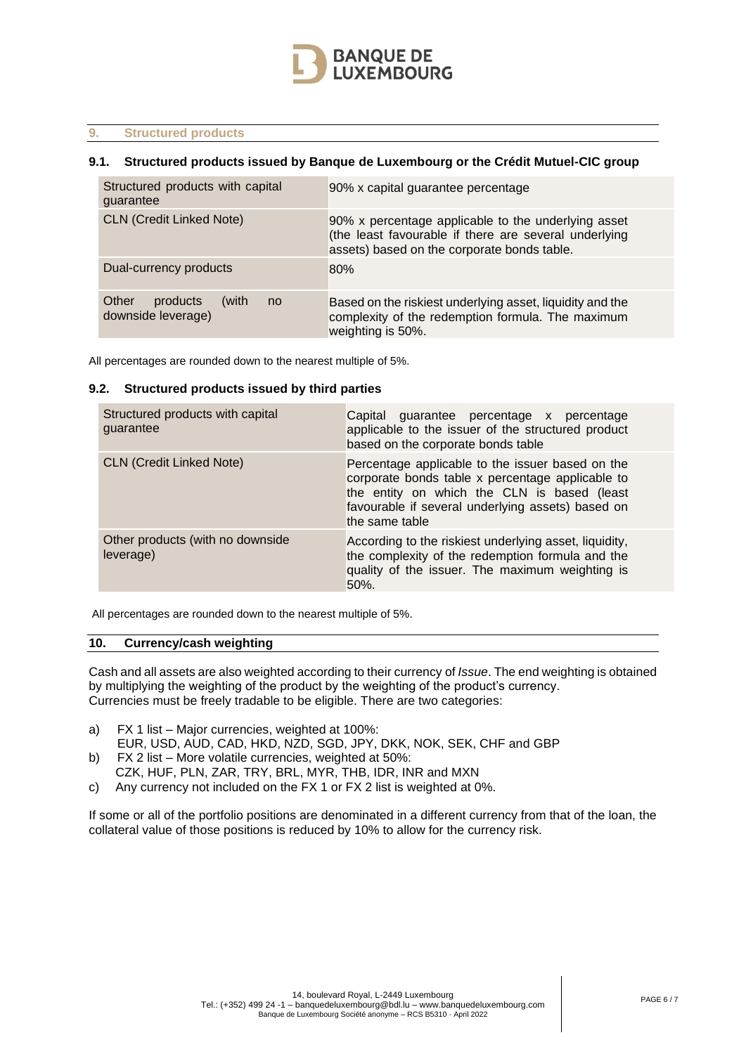

### **9. Structured products**

### **9.1. Structured products issued by Banque de Luxembourg or the Crédit Mutuel-CIC group**

| Structured products with capital<br>quarantee          | 90% x capital guarantee percentage                                                                                                                          |
|--------------------------------------------------------|-------------------------------------------------------------------------------------------------------------------------------------------------------------|
| <b>CLN (Credit Linked Note)</b>                        | 90% x percentage applicable to the underlying asset<br>(the least favourable if there are several underlying<br>assets) based on the corporate bonds table. |
| Dual-currency products                                 | 80%                                                                                                                                                         |
| Other<br>products<br>(with<br>no<br>downside leverage) | Based on the riskiest underlying asset, liquidity and the<br>complexity of the redemption formula. The maximum<br>weighting is 50%.                         |

All percentages are rounded down to the nearest multiple of 5%.

#### **9.2. Structured products issued by third parties**

| Structured products with capital<br>guarantee | Capital guarantee percentage x percentage<br>applicable to the issuer of the structured product<br>based on the corporate bonds table                                                                                      |
|-----------------------------------------------|----------------------------------------------------------------------------------------------------------------------------------------------------------------------------------------------------------------------------|
| <b>CLN (Credit Linked Note)</b>               | Percentage applicable to the issuer based on the<br>corporate bonds table x percentage applicable to<br>the entity on which the CLN is based (least<br>favourable if several underlying assets) based on<br>the same table |
| Other products (with no downside<br>leverage) | According to the riskiest underlying asset, liquidity,<br>the complexity of the redemption formula and the<br>quality of the issuer. The maximum weighting is<br>50%.                                                      |

All percentages are rounded down to the nearest multiple of 5%.

#### **10. Currency/cash weighting**

Cash and all assets are also weighted according to their currency of *Issue*. The end weighting is obtained by multiplying the weighting of the product by the weighting of the product's currency. Currencies must be freely tradable to be eligible. There are two categories:

- a) FX 1 list Major currencies, weighted at 100%:
- EUR, USD, AUD, CAD, HKD, NZD, SGD, JPY, DKK, NOK, SEK, CHF and GBP
- b) FX 2 list More volatile currencies, weighted at 50%:
	- CZK, HUF, PLN, ZAR, TRY, BRL, MYR, THB, IDR, INR and MXN
- c) Any currency not included on the FX 1 or FX 2 list is weighted at 0%.

If some or all of the portfolio positions are denominated in a different currency from that of the loan, the collateral value of those positions is reduced by 10% to allow for the currency risk.